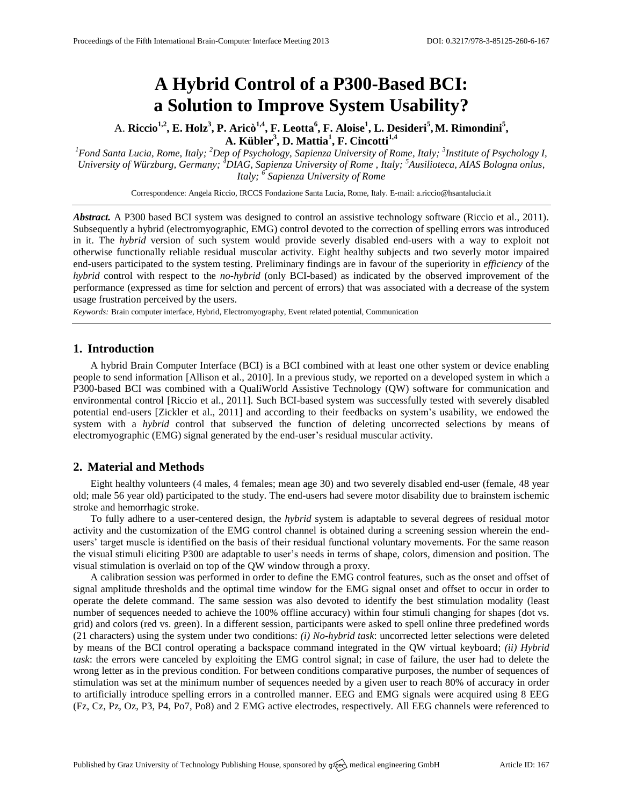# **A Hybrid Control of a P300-Based BCI: a Solution to Improve System Usability?**

A. **Riccio1,2 , E. Holz 3 , P. Aricò1,4 , F. Leotta<sup>6</sup> , F. Aloise<sup>1</sup> , L. Desideri<sup>5</sup> ,M. Rimondini<sup>5</sup> , A. Kübler<sup>3</sup> , D. Mattia<sup>1</sup> , F. Cincotti1,4**

*<sup>1</sup>Fond Santa Lucia, Rome, Italy; <sup>2</sup>Dep of Psychology, Sapienza University of Rome, Italy; <sup>3</sup> Institute of Psychology I, University of Würzburg, Germany; <sup>4</sup>DIAG, Sapienza University of Rome , Italy; <sup>5</sup>Ausilioteca, AIAS Bologna onlus, Italy; <sup>6</sup> Sapienza University of Rome*

Correspondence: Angela Riccio, IRCCS Fondazione Santa Lucia, Rome, Italy. E-mail[: a.riccio@hsantalucia.it](mailto:a.riccio@hsantalucia.it)

*Abstract.* A P300 based BCI system was designed to control an assistive technology software (Riccio et al., 2011). Subsequently a hybrid (electromyographic, EMG) control devoted to the correction of spelling errors was introduced in it. The *hybrid* version of such system would provide severly disabled end-users with a way to exploit not otherwise functionally reliable residual muscular activity. Eight healthy subjects and two severly motor impaired end-users participated to the system testing. Preliminary findings are in favour of the superiority in *efficiency* of the *hybrid* control with respect to the *no-hybrid* (only BCI-based) as indicated by the observed improvement of the performance (expressed as time for selction and percent of errors) that was associated with a decrease of the system usage frustration perceived by the users.

*Keywords:* Brain computer interface, Hybrid, Electromyography, Event related potential, Communication

## **1. Introduction**

A hybrid Brain Computer Interface (BCI) is a BCI combined with at least one other system or device enabling people to send information [Allison et al., 2010]. In a previous study, we reported on a developed system in which a P300-based BCI was combined with a QualiWorld Assistive Technology (QW) software for communication and environmental control [Riccio et al., 2011]. Such BCI-based system was successfully tested with severely disabled potential end-users [Zickler et al., 2011] and according to their feedbacks on system's usability, we endowed the system with a *hybrid* control that subserved the function of deleting uncorrected selections by means of electromyographic (EMG) signal generated by the end-user's residual muscular activity.

# **2. Material and Methods**

Eight healthy volunteers (4 males, 4 females; mean age 30) and two severely disabled end-user (female, 48 year old; male 56 year old) participated to the study. The end-users had severe motor disability due to brainstem ischemic stroke and hemorrhagic stroke.

To fully adhere to a user-centered design, the *hybrid* system is adaptable to several degrees of residual motor activity and the customization of the EMG control channel is obtained during a screening session wherein the endusers' target muscle is identified on the basis of their residual functional voluntary movements. For the same reason the visual stimuli eliciting P300 are adaptable to user's needs in terms of shape, colors, dimension and position. The visual stimulation is overlaid on top of the QW window through a proxy.

A calibration session was performed in order to define the EMG control features, such as the onset and offset of signal amplitude thresholds and the optimal time window for the EMG signal onset and offset to occur in order to operate the delete command. The same session was also devoted to identify the best stimulation modality (least number of sequences needed to achieve the 100% offline accuracy) within four stimuli changing for shapes (dot vs. grid) and colors (red vs. green). In a different session, participants were asked to spell online three predefined words (21 characters) using the system under two conditions: *(i) No-hybrid task*: uncorrected letter selections were deleted by means of the BCI control operating a backspace command integrated in the QW virtual keyboard; *(ii) Hybrid task*: the errors were canceled by exploiting the EMG control signal; in case of failure, the user had to delete the wrong letter as in the previous condition. For between conditions comparative purposes, the number of sequences of stimulation was set at the minimum number of sequences needed by a given user to reach 80% of accuracy in order to artificially introduce spelling errors in a controlled manner. EEG and EMG signals were acquired using 8 EEG (Fz, Cz, Pz, Oz, P3, P4, Po7, Po8) and 2 EMG active electrodes, respectively. All EEG channels were referenced to